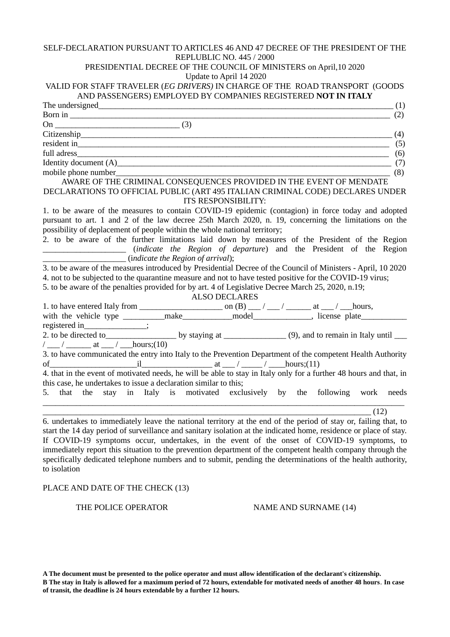## SELF-DECLARATION PURSUANT TO ARTICLES 46 AND 47 DECREE OF THE PRESIDENT OF THE REPLUBLIC NO. 445 / 2000

# PRESIDENTIAL DECREE OF THE COUNCIL OF MINISTERS on April,10 2020

Update to April 14 2020

# VALID FOR STAFF TRAVELER (*EG DRIVERS)* IN CHARGE OF THE ROAD TRANSPORT (GOODS AND PASSENGERS) EMPLOYED BY COMPANIES REGISTERED **NOT IN ITALY**

| (1)                                                                                                                                   |
|---------------------------------------------------------------------------------------------------------------------------------------|
| Born in<br>(2)                                                                                                                        |
|                                                                                                                                       |
| (4)                                                                                                                                   |
| resident in (5) (5)                                                                                                                   |
| full adress<br>$\overline{\hspace{1cm}}$ (6)                                                                                          |
| Identity document $(A)$ (7)                                                                                                           |
| mobile phone number<br>(8)                                                                                                            |
| AWARE OF THE CRIMINAL CONSEQUENCES PROVIDED IN THE EVENT OF MENDATE                                                                   |
| DECLARATIONS TO OFFICIAL PUBLIC (ART 495 ITALIAN CRIMINAL CODE) DECLARES UNDER                                                        |
| <b>ITS RESPONSIBILITY:</b>                                                                                                            |
| 1. to be aware of the measures to contain COVID-19 epidemic (contagion) in force today and adopted                                    |
| pursuant to art. 1 and 2 of the law decree 25th March 2020, n. 19, concerning the limitations on the                                  |
| possibility of deplacement of people within the whole national territory;                                                             |
| 2. to be aware of the further limitations laid down by measures of the President of the Region                                        |
| (indicate the Region of departure) and the President of the Region<br><u> 2002 - Jan James James Barbara, prima politik politik (</u> |
| $\sqrt{\frac{1}{\text{indicate the Region of arrival}}}.$                                                                             |
| 3. to be aware of the measures introduced by Presidential Decree of the Council of Ministers - April, 10 2020                         |
| 4. not to be subjected to the quarantine measure and not to have tested positive for the COVID-19 virus;                              |
| 5. to be aware of the penalties provided for by art. 4 of Legislative Decree March 25, 2020, n.19;                                    |
| <b>ALSO DECLARES</b>                                                                                                                  |
|                                                                                                                                       |
| with the vehicle type _________make__________model______________, license plate_____________________                                  |
| registered in_______________;                                                                                                         |
|                                                                                                                                       |
| $/$ __/ _______ at __/ ___ hours;(10)                                                                                                 |
| 3. to have communicated the entry into Italy to the Prevention Department of the competent Health Authority                           |
| of $i$ hours;(11)                                                                                                                     |
| 4. that in the event of motivated needs, he will be able to stay in Italy only for a further 48 hours and that, in                    |
| this case, he undertakes to issue a declaration similar to this;                                                                      |
| stay in Italy is motivated exclusively by the following work needs<br>that<br>the<br>5.                                               |
|                                                                                                                                       |
| (12)                                                                                                                                  |

6. undertakes to immediately leave the national territory at the end of the period of stay or, failing that, to start the 14 day period of surveillance and sanitary isolation at the indicated home, residence or place of stay. If COVID-19 symptoms occur, undertakes, in the event of the onset of COVID-19 symptoms, to immediately report this situation to the prevention department of the competent health company through the specifically dedicated telephone numbers and to submit, pending the determinations of the health authority, to isolation

# PLACE AND DATE OF THE CHECK (13)

### THE POLICE OPERATOR NAME AND SURNAME (14)

**A The document must be presented to the police operator and must allow identification of the declarant's citizenship. B The stay in Italy is allowed for a maximum period of 72 hours, extendable for motivated needs of another 48 hours**. **In case of transit, the deadline is 24 hours extendable by a further 12 hours.**